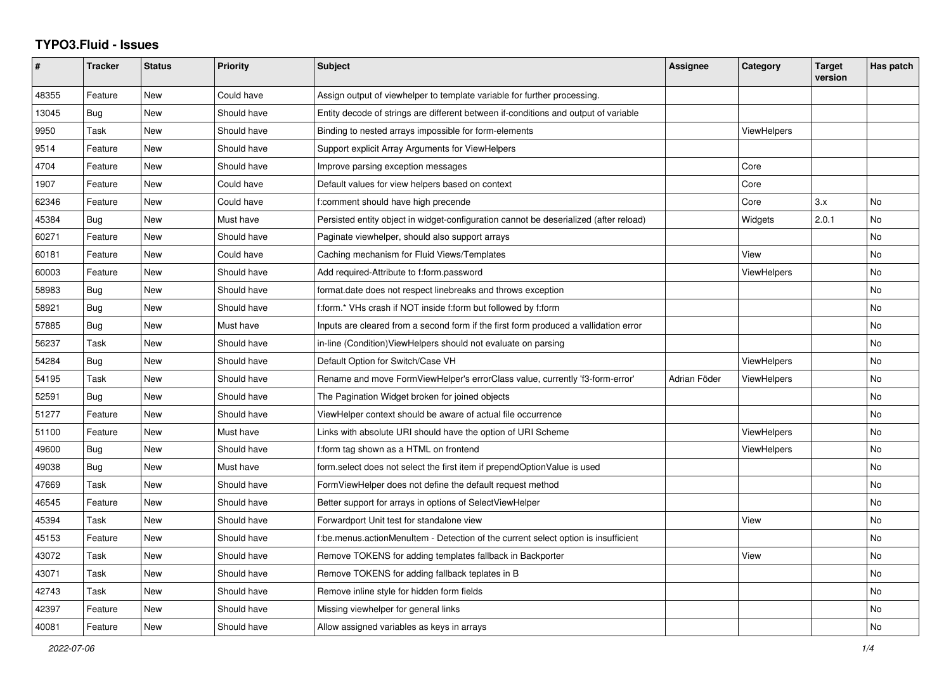## **TYPO3.Fluid - Issues**

| #     | <b>Tracker</b> | <b>Status</b> | <b>Priority</b> | <b>Subject</b>                                                                        | Assignee     | Category           | <b>Target</b><br>version | Has patch |
|-------|----------------|---------------|-----------------|---------------------------------------------------------------------------------------|--------------|--------------------|--------------------------|-----------|
| 48355 | Feature        | New           | Could have      | Assign output of viewhelper to template variable for further processing.              |              |                    |                          |           |
| 13045 | Bug            | New           | Should have     | Entity decode of strings are different between if-conditions and output of variable   |              |                    |                          |           |
| 9950  | Task           | New           | Should have     | Binding to nested arrays impossible for form-elements                                 |              | <b>ViewHelpers</b> |                          |           |
| 9514  | Feature        | New           | Should have     | Support explicit Array Arguments for ViewHelpers                                      |              |                    |                          |           |
| 4704  | Feature        | <b>New</b>    | Should have     | Improve parsing exception messages                                                    |              | Core               |                          |           |
| 1907  | Feature        | New           | Could have      | Default values for view helpers based on context                                      |              | Core               |                          |           |
| 62346 | Feature        | <b>New</b>    | Could have      | f:comment should have high precende                                                   |              | Core               | 3.x                      | <b>No</b> |
| 45384 | Bug            | <b>New</b>    | Must have       | Persisted entity object in widget-configuration cannot be deserialized (after reload) |              | Widgets            | 2.0.1                    | <b>No</b> |
| 60271 | Feature        | New           | Should have     | Paginate viewhelper, should also support arrays                                       |              |                    |                          | <b>No</b> |
| 60181 | Feature        | New           | Could have      | Caching mechanism for Fluid Views/Templates                                           |              | View               |                          | No        |
| 60003 | Feature        | New           | Should have     | Add required-Attribute to f:form.password                                             |              | <b>ViewHelpers</b> |                          | No        |
| 58983 | Bug            | <b>New</b>    | Should have     | format.date does not respect linebreaks and throws exception                          |              |                    |                          | No.       |
| 58921 | Bug            | New           | Should have     | f:form.* VHs crash if NOT inside f:form but followed by f:form                        |              |                    |                          | No        |
| 57885 | <b>Bug</b>     | New           | Must have       | Inputs are cleared from a second form if the first form produced a vallidation error  |              |                    |                          | No        |
| 56237 | Task           | New           | Should have     | in-line (Condition) View Helpers should not evaluate on parsing                       |              |                    |                          | No        |
| 54284 | Bug            | New           | Should have     | Default Option for Switch/Case VH                                                     |              | ViewHelpers        |                          | No        |
| 54195 | Task           | New           | Should have     | Rename and move FormViewHelper's errorClass value, currently 'f3-form-error'          | Adrian Föder | <b>ViewHelpers</b> |                          | No        |
| 52591 | Bug            | <b>New</b>    | Should have     | The Pagination Widget broken for joined objects                                       |              |                    |                          | <b>No</b> |
| 51277 | Feature        | New           | Should have     | ViewHelper context should be aware of actual file occurrence                          |              |                    |                          | <b>No</b> |
| 51100 | Feature        | New           | Must have       | Links with absolute URI should have the option of URI Scheme                          |              | <b>ViewHelpers</b> |                          | No        |
| 49600 | <b>Bug</b>     | <b>New</b>    | Should have     | f:form tag shown as a HTML on frontend                                                |              | <b>ViewHelpers</b> |                          | No        |
| 49038 | <b>Bug</b>     | New           | Must have       | form.select does not select the first item if prependOptionValue is used              |              |                    |                          | <b>No</b> |
| 47669 | Task           | New           | Should have     | FormViewHelper does not define the default request method                             |              |                    |                          | <b>No</b> |
| 46545 | Feature        | New           | Should have     | Better support for arrays in options of SelectViewHelper                              |              |                    |                          | No        |
| 45394 | Task           | New           | Should have     | Forwardport Unit test for standalone view                                             |              | View               |                          | No        |
| 45153 | Feature        | New           | Should have     | f:be.menus.actionMenuItem - Detection of the current select option is insufficient    |              |                    |                          | No        |
| 43072 | Task           | New           | Should have     | Remove TOKENS for adding templates fallback in Backporter                             |              | View               |                          | No        |
| 43071 | Task           | New           | Should have     | Remove TOKENS for adding fallback teplates in B                                       |              |                    |                          | No        |
| 42743 | Task           | <b>New</b>    | Should have     | Remove inline style for hidden form fields                                            |              |                    |                          | No        |
| 42397 | Feature        | <b>New</b>    | Should have     | Missing viewhelper for general links                                                  |              |                    |                          | No.       |
| 40081 | Feature        | <b>New</b>    | Should have     | Allow assigned variables as keys in arrays                                            |              |                    |                          | No        |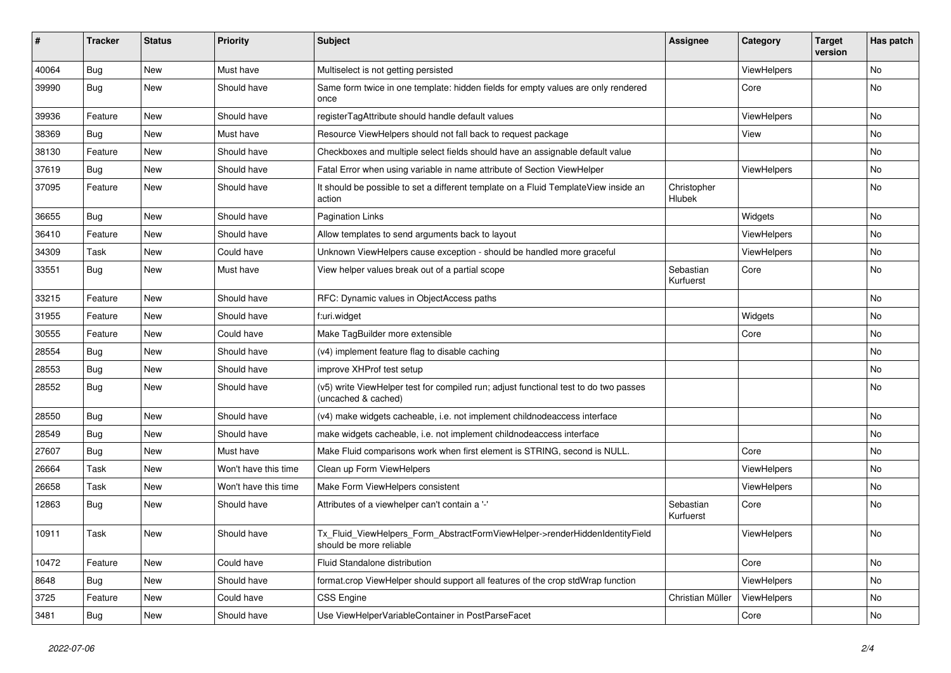| #     | <b>Tracker</b> | <b>Status</b> | <b>Priority</b>      | <b>Subject</b>                                                                                              | <b>Assignee</b>        | Category    | <b>Target</b><br>version | Has patch |
|-------|----------------|---------------|----------------------|-------------------------------------------------------------------------------------------------------------|------------------------|-------------|--------------------------|-----------|
| 40064 | Bug            | New           | Must have            | Multiselect is not getting persisted                                                                        |                        | ViewHelpers |                          | <b>No</b> |
| 39990 | Bug            | New           | Should have          | Same form twice in one template: hidden fields for empty values are only rendered<br>once                   |                        | Core        |                          | No        |
| 39936 | Feature        | <b>New</b>    | Should have          | registerTagAttribute should handle default values                                                           |                        | ViewHelpers |                          | No        |
| 38369 | Bug            | New           | Must have            | Resource ViewHelpers should not fall back to request package                                                |                        | View        |                          | No        |
| 38130 | Feature        | New           | Should have          | Checkboxes and multiple select fields should have an assignable default value                               |                        |             |                          | No        |
| 37619 | Bug            | New           | Should have          | Fatal Error when using variable in name attribute of Section ViewHelper                                     |                        | ViewHelpers |                          | No        |
| 37095 | Feature        | New           | Should have          | It should be possible to set a different template on a Fluid TemplateView inside an<br>action               | Christopher<br>Hlubek  |             |                          | No        |
| 36655 | Bug            | New           | Should have          | <b>Pagination Links</b>                                                                                     |                        | Widgets     |                          | No        |
| 36410 | Feature        | New           | Should have          | Allow templates to send arguments back to layout                                                            |                        | ViewHelpers |                          | No        |
| 34309 | Task           | New           | Could have           | Unknown ViewHelpers cause exception - should be handled more graceful                                       |                        | ViewHelpers |                          | No        |
| 33551 | Bug            | New           | Must have            | View helper values break out of a partial scope                                                             | Sebastian<br>Kurfuerst | Core        |                          | No        |
| 33215 | Feature        | New           | Should have          | RFC: Dynamic values in ObjectAccess paths                                                                   |                        |             |                          | No        |
| 31955 | Feature        | New           | Should have          | f:uri.widget                                                                                                |                        | Widgets     |                          | No        |
| 30555 | Feature        | New           | Could have           | Make TagBuilder more extensible                                                                             |                        | Core        |                          | No        |
| 28554 | Bug            | New           | Should have          | (v4) implement feature flag to disable caching                                                              |                        |             |                          | No        |
| 28553 | Bug            | New           | Should have          | improve XHProf test setup                                                                                   |                        |             |                          | No        |
| 28552 | Bug            | New           | Should have          | (v5) write ViewHelper test for compiled run; adjust functional test to do two passes<br>(uncached & cached) |                        |             |                          | No        |
| 28550 | Bug            | New           | Should have          | (v4) make widgets cacheable, i.e. not implement childnodeaccess interface                                   |                        |             |                          | No        |
| 28549 | Bug            | New           | Should have          | make widgets cacheable, i.e. not implement childnodeaccess interface                                        |                        |             |                          | No        |
| 27607 | Bug            | New           | Must have            | Make Fluid comparisons work when first element is STRING, second is NULL.                                   |                        | Core        |                          | No        |
| 26664 | Task           | New           | Won't have this time | Clean up Form ViewHelpers                                                                                   |                        | ViewHelpers |                          | No        |
| 26658 | Task           | New           | Won't have this time | Make Form ViewHelpers consistent                                                                            |                        | ViewHelpers |                          | No        |
| 12863 | Bug            | New           | Should have          | Attributes of a viewhelper can't contain a '-'                                                              | Sebastian<br>Kurfuerst | Core        |                          | No        |
| 10911 | Task           | New           | Should have          | Tx_Fluid_ViewHelpers_Form_AbstractFormViewHelper->renderHiddenIdentityField<br>should be more reliable      |                        | ViewHelpers |                          | No        |
| 10472 | Feature        | New           | Could have           | Fluid Standalone distribution                                                                               |                        | Core        |                          | No        |
| 8648  | Bug            | New           | Should have          | format.crop ViewHelper should support all features of the crop stdWrap function                             |                        | ViewHelpers |                          | No        |
| 3725  | Feature        | New           | Could have           | CSS Engine                                                                                                  | Christian Müller       | ViewHelpers |                          | No        |
| 3481  | <b>Bug</b>     | New           | Should have          | Use ViewHelperVariableContainer in PostParseFacet                                                           |                        | Core        |                          | No        |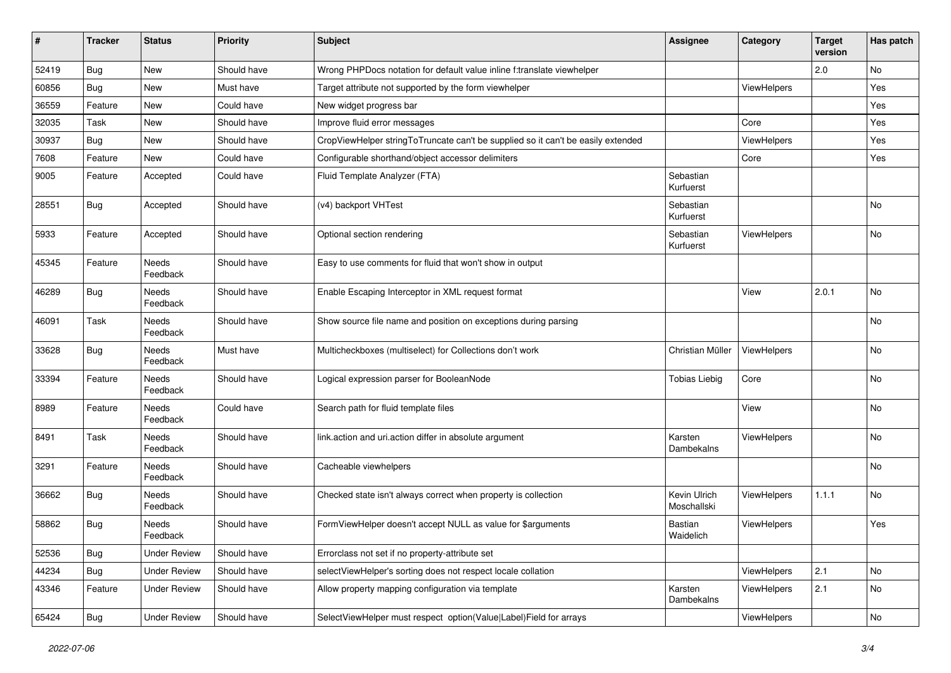| #     | <b>Tracker</b> | <b>Status</b>            | <b>Priority</b> | <b>Subject</b>                                                                   | <b>Assignee</b>             | Category           | <b>Target</b><br>version | Has patch |
|-------|----------------|--------------------------|-----------------|----------------------------------------------------------------------------------|-----------------------------|--------------------|--------------------------|-----------|
| 52419 | <b>Bug</b>     | New                      | Should have     | Wrong PHPDocs notation for default value inline f:translate viewhelper           |                             |                    | 2.0                      | No        |
| 60856 | Bug            | New                      | Must have       | Target attribute not supported by the form viewhelper                            |                             | <b>ViewHelpers</b> |                          | Yes       |
| 36559 | Feature        | New                      | Could have      | New widget progress bar                                                          |                             |                    |                          | Yes       |
| 32035 | Task           | New                      | Should have     | Improve fluid error messages                                                     |                             | Core               |                          | Yes       |
| 30937 | <b>Bug</b>     | New                      | Should have     | CropViewHelper stringToTruncate can't be supplied so it can't be easily extended |                             | ViewHelpers        |                          | Yes       |
| 7608  | Feature        | New                      | Could have      | Configurable shorthand/object accessor delimiters                                |                             | Core               |                          | Yes       |
| 9005  | Feature        | Accepted                 | Could have      | Fluid Template Analyzer (FTA)                                                    | Sebastian<br>Kurfuerst      |                    |                          |           |
| 28551 | Bug            | Accepted                 | Should have     | (v4) backport VHTest                                                             | Sebastian<br>Kurfuerst      |                    |                          | No        |
| 5933  | Feature        | Accepted                 | Should have     | Optional section rendering                                                       | Sebastian<br>Kurfuerst      | ViewHelpers        |                          | No        |
| 45345 | Feature        | Needs<br>Feedback        | Should have     | Easy to use comments for fluid that won't show in output                         |                             |                    |                          |           |
| 46289 | Bug            | Needs<br>Feedback        | Should have     | Enable Escaping Interceptor in XML request format                                |                             | View               | 2.0.1                    | <b>No</b> |
| 46091 | Task           | <b>Needs</b><br>Feedback | Should have     | Show source file name and position on exceptions during parsing                  |                             |                    |                          | No        |
| 33628 | Bug            | Needs<br>Feedback        | Must have       | Multicheckboxes (multiselect) for Collections don't work                         | Christian Müller            | ViewHelpers        |                          | No        |
| 33394 | Feature        | Needs<br>Feedback        | Should have     | Logical expression parser for BooleanNode                                        | <b>Tobias Liebig</b>        | Core               |                          | No        |
| 8989  | Feature        | Needs<br>Feedback        | Could have      | Search path for fluid template files                                             |                             | View               |                          | No        |
| 8491  | Task           | Needs<br>Feedback        | Should have     | link.action and uri.action differ in absolute argument                           | Karsten<br>Dambekalns       | ViewHelpers        |                          | No        |
| 3291  | Feature        | Needs<br>Feedback        | Should have     | Cacheable viewhelpers                                                            |                             |                    |                          | No        |
| 36662 | Bug            | Needs<br>Feedback        | Should have     | Checked state isn't always correct when property is collection                   | Kevin Ulrich<br>Moschallski | ViewHelpers        | 1.1.1                    | No        |
| 58862 | Bug            | Needs<br>Feedback        | Should have     | FormViewHelper doesn't accept NULL as value for \$arguments                      | <b>Bastian</b><br>Waidelich | ViewHelpers        |                          | Yes       |
| 52536 | Bug            | <b>Under Review</b>      | Should have     | Errorclass not set if no property-attribute set                                  |                             |                    |                          |           |
| 44234 | Bug            | <b>Under Review</b>      | Should have     | selectViewHelper's sorting does not respect locale collation                     |                             | ViewHelpers        | 2.1                      | No        |
| 43346 | Feature        | <b>Under Review</b>      | Should have     | Allow property mapping configuration via template                                | Karsten<br>Dambekalns       | ViewHelpers        | 2.1                      | No        |
| 65424 | <b>Bug</b>     | <b>Under Review</b>      | Should have     | SelectViewHelper must respect option(Value Label)Field for arrays                |                             | ViewHelpers        |                          | No        |